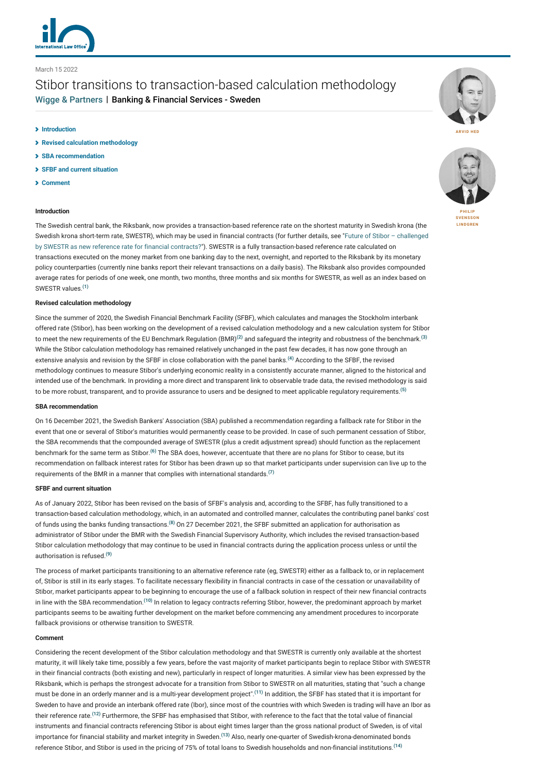

March 15 2022

# Stibor transitions to transaction-based calculation methodology [Wigge & Partners](http://lexology-legacy.lexology.svc.cluster.local/contributors/1159309) | Banking & Financial Services - Sweden

- **[Introduction](#page-0-0)**
- **[Revised calculation methodology](#page-0-1)**
- **[SBA recommendation](#page-0-2)**
- **[SFBF and current situation](#page-0-3)**
- **[Comment](#page-0-4)**

### <span id="page-0-0"></span>**Introduction**

The Swedish central bank, the Riksbank, now provides a transaction-based reference rate on the shortest maturity in Swedish krona (the [Swedish krona short-term rate, SWESTR\), which may be used in financial contracts \(for further details, see "Future of Stibor – challenged](https://www.lexology.com/commentary/banking-financial-services/sweden/wigge-partners/future-of-stibor-challenged-by-swestr-as-new-reference-rate-for-financial-contracts) by SWESTR as new reference rate for financial contracts?"). SWESTR is a fully transaction-based reference rate calculated on transactions executed on the money market from one banking day to the next, overnight, and reported to the Riksbank by its monetary policy counterparties (currently nine banks report their relevant transactions on a daily basis). The Riksbank also provides compounded average rates for periods of one week, one month, two months, three months and six months for SWESTR, as well as an index based on SWESTR values.**[\(1\)](#page-1-0)**

#### <span id="page-0-1"></span>**Revised calculation methodology**

Since the summer of 2020, the Swedish Financial Benchmark Facility (SFBF), which calculates and manages the Stockholm interbank offered rate (Stibor), has been working on the development of a revised calculation methodology and a new calculation system for Stibor to meet the new requirements of the EU Benchmark Regulation (BMR)**[\(2\)](#page-1-1)** and safeguard the integrity and robustness of the benchmark.**[\(3\)](#page-1-2)** While the Stibor calculation methodology has remained relatively unchanged in the past few decades, it has now gone through an extensive analysis and revision by the SFBF in close collaboration with the panel banks.**[\(4\)](#page-1-3)** According to the SFBF, the revised methodology continues to measure Stibor's underlying economic reality in a consistently accurate manner, aligned to the historical and intended use of the benchmark. In providing a more direct and transparent link to observable trade data, the revised methodology is said to be more robust, transparent, and to provide assurance to users and be designed to meet applicable regulatory requirements.**[\(5\)](#page-1-4)**

# <span id="page-0-2"></span>**SBA recommendation**

On 16 December 2021, the Swedish Bankers' Association (SBA) published a recommendation regarding a fallback rate for Stibor in the event that one or several of Stibor's maturities would permanently cease to be provided. In case of such permanent cessation of Stibor, the SBA recommends that the compounded average of SWESTR (plus a credit adjustment spread) should function as the replacement benchmark for the same term as Stibor.**[\(6\)](#page-1-5)** The SBA does, however, accentuate that there are no plans for Stibor to cease, but its recommendation on fallback interest rates for Stibor has been drawn up so that market participants under supervision can live up to the requirements of the BMR in a manner that complies with international standards.**[\(7\)](#page-1-6)**

#### <span id="page-0-3"></span>**SFBF and current situation**

As of January 2022, Stibor has been revised on the basis of SFBF's analysis and, according to the SFBF, has fully transitioned to a transaction-based calculation methodology, which, in an automated and controlled manner, calculates the contributing panel banks' cost of funds using the banks funding transactions.**[\(8\)](#page-1-7)** On 27 December 2021, the SFBF submitted an application for authorisation as administrator of Stibor under the BMR with the Swedish Financial Supervisory Authority, which includes the revised transaction-based Stibor calculation methodology that may continue to be used in financial contracts during the application process unless or until the authorisation is refused.**[\(9\)](#page-1-8)**

The process of market participants transitioning to an alternative reference rate (eg, SWESTR) either as a fallback to, or in replacement of, Stibor is still in its early stages. To facilitate necessary flexibility in financial contracts in case of the cessation or unavailability of Stibor, market participants appear to be beginning to encourage the use of a fallback solution in respect of their new financial contracts in line with the SBA recommendation.**[\(10\)](#page-1-9)** In relation to legacy contracts referring Stibor, however, the predominant approach by market participants seems to be awaiting further development on the market before commencing any amendment procedures to incorporate fallback provisions or otherwise transition to SWESTR.

## <span id="page-0-4"></span>**Comment**

Considering the recent development of the Stibor calculation methodology and that SWESTR is currently only available at the shortest maturity, it will likely take time, possibly a few years, before the vast majority of market participants begin to replace Stibor with SWESTR in their financial contracts (both existing and new), particularly in respect of longer maturities. A similar view has been expressed by the Riksbank, which is perhaps the strongest advocate for a transition from Stibor to SWESTR on all maturities, stating that "such a change must be done in an orderly manner and is a multi-year development project".**[\(11\)](#page-1-10)** In addition, the SFBF has stated that it is important for Sweden to have and provide an interbank offered rate (Ibor), since most of the countries with which Sweden is trading will have an Ibor as their reference rate.**[\(12\)](#page-1-11)** Furthermore, the SFBF has emphasised that Stibor, with reference to the fact that the total value of financial instruments and financial contracts referencing Stibor is about eight times larger than the gross national product of Sweden, is of vital importance for financial stability and market integrity in Sweden.**[\(13\)](#page-1-12)** Also, nearly one-quarter of Swedish-krona-denominated bonds reference Stibor, and Stibor is used in the pricing of 75% of total loans to Swedish households and non-financial institutions.**[\(14\)](#page-1-13)**





**LINDGREN**